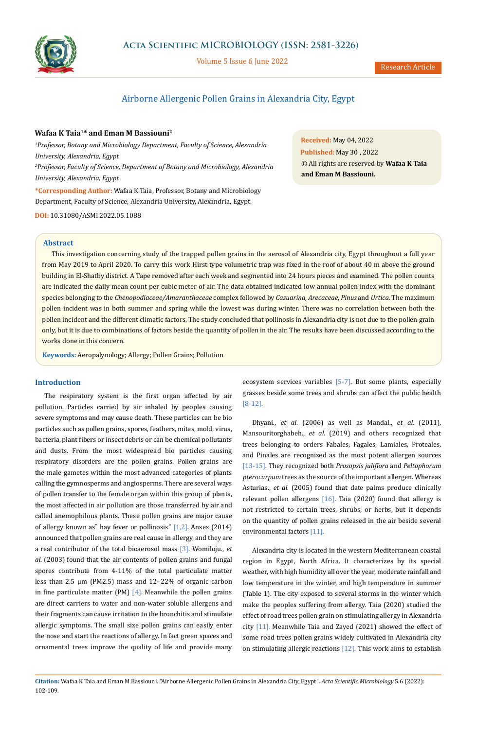

# **Acta Scientific MICROBIOLOGY (ISSN: 2581-3226)**

Volume 5 Issue 6 June 2022

# Airborne Allergenic Pollen Grains in Alexandria City, Egypt

## **Wafaa K Taia1\* and Eman M Bassiouni2**

<sup>1</sup> Professor, Botany and Microbiology Department, Faculty of Science, Alexandria *University, Alexandria, Egypt 2 Professor, Faculty of Science, Department of Botany and Microbiology, Alexandria University, Alexandria, Egypt*

**\*Corresponding Author:** Wafaa K Taia, Professor, Botany and Microbiology Department, Faculty of Science, Alexandria University, Alexandria, Egypt.

**DOI:** [10.31080/ASMI.2022.05.1088](http://actascientific.com/ASMI/pdf/ASMI-05-1088.pdf)

**Received:** May 04, 2022 **Published:** May 30 , 2022 © All rights are reserved by **Wafaa K Taia and Eman M Bassiouni***.*

#### **Abstract**

This investigation concerning study of the trapped pollen grains in the aerosol of Alexandria city, Egypt throughout a full year from May 2019 to April 2020. To carry this work Hirst type volumetric trap was fixed in the roof of about 40 m above the ground building in El-Shatby district. A Tape removed after each week and segmented into 24 hours pieces and examined. The pollen counts are indicated the daily mean count per cubic meter of air. The data obtained indicated low annual pollen index with the dominant species belonging to the *Chenopodiaceae/Amaranthaceae* complex followed by *Casuarina, Arecaceae*, *Pinus* and *Urtica*. The maximum pollen incident was in both summer and spring while the lowest was during winter. There was no correlation between both the pollen incident and the different climatic factors. The study concluded that pollinosis in Alexandria city is not due to the pollen grain only, but it is due to combinations of factors beside the quantity of pollen in the air. The results have been discussed according to the works done in this concern.

**Keywords:** Aeropalynology; Allergy; Pollen Grains; Pollution

## **Introduction**

The respiratory system is the first organ affected by air pollution. Particles carried by air inhaled by peoples causing severe symptoms and may cause death. These particles can be bio particles such as pollen grains, spores, feathers, mites, mold, virus, bacteria, plant fibers or insect debris or can be chemical pollutants and dusts. From the most widespread bio particles causing respiratory disorders are the pollen grains. Pollen grains are the male gametes within the most advanced categories of plants calling the gymnosperms and angiosperms. There are several ways of pollen transfer to the female organ within this group of plants, the most affected in air pollution are those transferred by air and called anemophilous plants. These pollen grains are major cause of allergy known as" hay fever or pollinosis"  $[1,2]$ . Anses (2014) announced that pollen grains are real cause in allergy, and they are a real contributor of the total bioaerosol mass [3]. Womiloju., *et al*. (2003) found that the air contents of pollen grains and fungal spores contribute from 4-11% of the total particulate matter less than 2.5 μm (PM2.5) mass and 12–22% of organic carbon in fine particulate matter (PM)  $[4]$ . Meanwhile the pollen grains are direct carriers to water and non-water soluble allergens and their fragments can cause irritation to the bronchitis and stimulate allergic symptoms. The small size pollen grains can easily enter the nose and start the reactions of allergy. In fact green spaces and ornamental trees improve the quality of life and provide many ecosystem services variables [5-7]. But some plants, especially grasses beside some trees and shrubs can affect the public health [8-12].

Dhyani., *et al*. (2006) as well as Mandal., *et al*. (2011), Mansouritorghabeh., *et al*. (2019) and others recognized that trees belonging to orders Fabales, Fagales, Lamiales, Proteales, and Pinales are recognized as the most potent allergen sources [13-15]. They recognized both *Prosopsis juliflora* and *Peltophorum pterocarpum* trees as the source of the important allergen. Whereas Asturias., *et al.* (2005) found that date palms produce clinically relevant pollen allergens [16]. Taia (2020) found that allergy is not restricted to certain trees, shrubs, or herbs, but it depends on the quantity of pollen grains released in the air beside several environmental factors [11].

Alexandria city is located in the western Mediterranean coastal region in Egypt, North Africa. It characterizes by its special weather, with high humidity all over the year, moderate rainfall and low temperature in the winter, and high temperature in summer (Table 1). The city exposed to several storms in the winter which make the peoples suffering from allergy. Taia (2020) studied the effect of road trees pollen grain on stimulating allergy in Alexandria city [11]. Meanwhile Taia and Zayed (2021) showed the effect of some road trees pollen grains widely cultivated in Alexandria city on stimulating allergic reactions  $[12]$ . This work aims to establish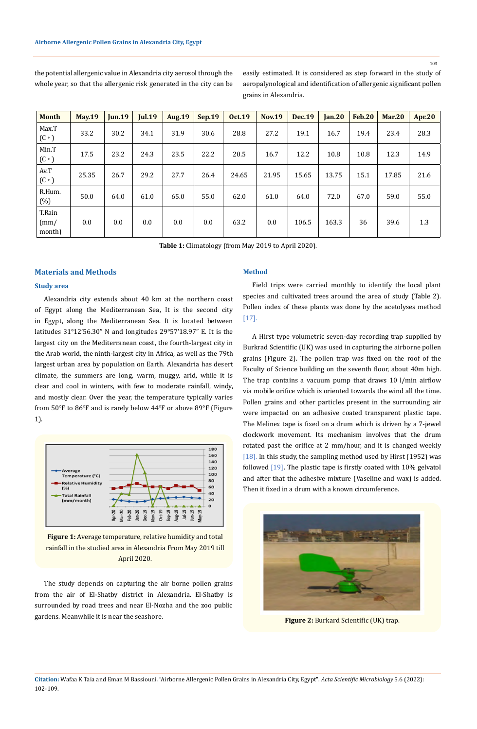103

| <b>Month</b>                            | <b>May.19</b> | <b>Jun.19</b> | <b>Jul.19</b> | <b>Aug.19</b> | <b>Sep.19</b> | <b>Oct.19</b> | <b>Nov.19</b> | <b>Dec.19</b> | Jan.20 | <b>Feb.20</b> | <b>Mar.20</b> | <b>Apr.20</b> |
|-----------------------------------------|---------------|---------------|---------------|---------------|---------------|---------------|---------------|---------------|--------|---------------|---------------|---------------|
| Max.T<br>$(C \cdot)$                    | 33.2          | 30.2          | 34.1          | 31.9          | 30.6          | 28.8          | 27.2          | 19.1          | 16.7   | 19.4          | 23.4          | 28.3          |
| Min.T<br>$(C \cdot)$                    | 17.5          | 23.2          | 24.3          | 23.5          | 22.2          | 20.5          | 16.7          | 12.2          | 10.8   | 10.8          | 12.3          | 14.9          |
| Av.T<br>$(C \cdot)$                     | 25.35         | 26.7          | 29.2          | 27.7          | 26.4          | 24.65         | 21.95         | 15.65         | 13.75  | 15.1          | 17.85         | 21.6          |
| R.Hum.<br>(%)                           | 50.0          | 64.0          | 61.0          | 65.0          | 55.0          | 62.0          | 61.0          | 64.0          | 72.0   | 67.0          | 59.0          | 55.0          |
| T.Rain<br>$\text{m}/\text{m}$<br>month) | 0.0           | 0.0           | 0.0           | 0.0           | 0.0           | 63.2          | 0.0           | 106.5         | 163.3  | 36            | 39.6          | 1.3           |

grains in Alexandria.

the potential allergenic value in Alexandria city aerosol through the whole year, so that the allergenic risk generated in the city can be

**Table 1:** Climatology (from May 2019 to April 2020).

## **Materials and Methods**

## **Study area**

Alexandria city extends about 40 km at the [northern coast](https://en.wikipedia.org/wiki/Northern_coast_of_Egypt)  [of Egypt](https://en.wikipedia.org/wiki/Northern_coast_of_Egypt) along the [Mediterranean Sea,](https://en.wikipedia.org/wiki/Mediterranean_Sea) It is the second city in Egypt, along the [Mediterranean Sea](https://en.wikipedia.org/wiki/Mediterranean_Sea). It is located between latitudes 31°12'56.30" N and longitudes 29°57'18.97" E. It is the largest city on the Mediterranean coast, the [fourth-largest city](https://en.wikipedia.org/wiki/List_of_largest_cities_in_the_Arab_world) in the [Arab world,](https://en.wikipedia.org/wiki/Arab_world) the [ninth-largest city](https://en.wikipedia.org/wiki/List_of_cities_in_Africa_by_population) in [Africa,](https://en.wikipedia.org/wiki/Africa) as well as the [79th](https://en.wikipedia.org/wiki/List_of_largest_cities)  [largest](https://en.wikipedia.org/wiki/List_of_largest_cities) urban area by population on Earth. Alexandria has desert climate, the summers are long, warm, muggy, arid, while it is clear and cool in winters, with few to moderate rainfall, windy, and mostly clear. Over the year, the temperature typically varies from 50°F to 86°F and is rarely below 44°F or above 89°F (Figure 1).



**Figure 1:** Average temperature, relative humidity and total rainfall in the studied area in Alexandria From May 2019 till April 2020.

The study depends on capturing the air borne pollen grains from the air of El-Shatby district in Alexandria. El-Shatby is surrounded by road trees and near El-Nozha and the zoo public gardens. Meanwhile it is near the seashore.

## **Method**

Field trips were carried monthly to identify the local plant species and cultivated trees around the area of study (Table 2). Pollen index of these plants was done by the acetolyses method [17].

easily estimated. It is considered as step forward in the study of aeropalynological and identification of allergenic significant pollen

A Hirst type volumetric seven-day recording trap supplied by Burkrad Scientific (UK) was used in capturing the airborne pollen grains (Figure 2). The pollen trap was fixed on the roof of the Faculty of Science building on the seventh floor, about 40m high. The trap contains a vacuum pump that draws 10 l/min airflow via mobile orifice which is oriented towards the wind all the time. Pollen grains and other particles present in the surrounding air were impacted on an adhesive coated transparent plastic tape. The Melinex tape is fixed on a drum which is driven by a 7-jewel clockwork movement. Its mechanism involves that the drum rotated past the orifice at 2 mm/hour, and it is changed weekly [18]. In this study, the sampling method used by Hirst (1952) was followed [19]. The plastic tape is firstly coated with 10% gelvatol and after that the adhesive mixture (Vaseline and wax) is added. Then it fixed in a drum with a known circumference.



**Figure 2:** Burkard Scientific (UK) trap.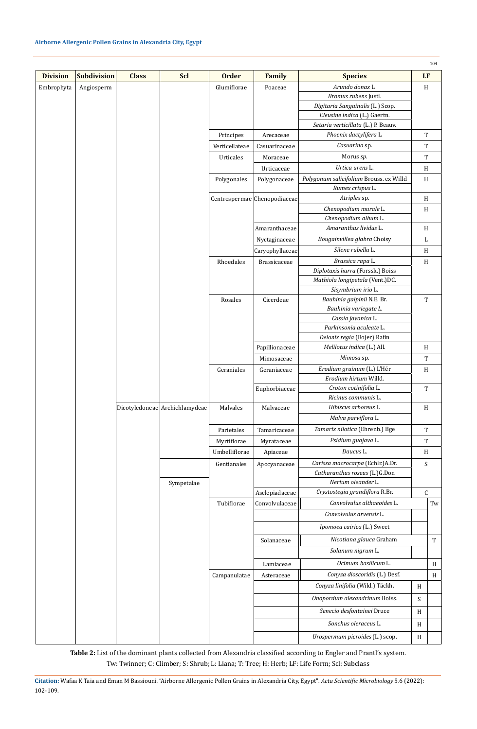|                 |                    |              |                                |                |                              |                                         |             | 104                 |
|-----------------|--------------------|--------------|--------------------------------|----------------|------------------------------|-----------------------------------------|-------------|---------------------|
| <b>Division</b> | <b>Subdivision</b> | <b>Class</b> | Scl                            | <b>Order</b>   | <b>Family</b>                | <b>Species</b>                          |             | <b>LF</b>           |
| Embrophyta      | Angiosperm         |              |                                | Glumiflorae    | Poaceae                      | Arundo donax L.                         | H           |                     |
|                 |                    |              |                                |                |                              | Bromus rubens Justl.                    |             |                     |
|                 |                    |              |                                |                |                              | Digitaria Sanguinalis (L.) Scop.        |             |                     |
|                 |                    |              |                                |                |                              | Eleusine indica (L.) Gaertn.            |             |                     |
|                 |                    |              |                                |                |                              | Setaria verticillata (L.) P. Beauv.     |             |                     |
|                 |                    |              |                                | Principes      | Arecaceae                    | Phoenix dactylifera L.                  |             | T                   |
|                 |                    |              |                                | Verticellateae | Casuarinaceae                | Casuarina sp.                           |             | $\mathbf T$         |
|                 |                    |              |                                | Urticales      | Moraceae                     | Morus sp.                               |             | $\mathbf T$         |
|                 |                    |              |                                |                | Urticaceae                   | Urtica urens L.                         |             | H                   |
|                 |                    |              |                                | Polygonales    | Polygonaceae                 | Polygonum salicifolium Brouss. ex Willd | H           |                     |
|                 |                    |              |                                |                |                              | Rumex crispus L.                        |             |                     |
|                 |                    |              |                                |                | Centrospermae Chenopodiaceae | Atriplex sp.                            | H           |                     |
|                 |                    |              |                                |                |                              | Chenopodium murale L.                   | H           |                     |
|                 |                    |              |                                |                |                              | Chenopodium album L.                    |             |                     |
|                 |                    |              |                                |                | Amaranthaceae                | Amaranthus lividus L.                   | H           |                     |
|                 |                    |              |                                |                | Nyctaginaceae                | Bougainvillea glabra Choisy             | L           |                     |
|                 |                    |              |                                |                | Caryophyllaceae              | Silene rubella L.                       |             | H                   |
|                 |                    |              |                                | Rhoedales      | Brassicaceae                 | Brassica rapa L.                        |             | H                   |
|                 |                    |              |                                |                |                              | Diplotaxis harra (Forssk.) Boiss        |             |                     |
|                 |                    |              |                                |                |                              | Mathiola longipetala (Vent.)DC.         |             |                     |
|                 |                    |              |                                |                |                              | Sisymbrium irio L.                      |             |                     |
|                 |                    |              |                                | Rosales        | Cicerdeae                    | Bauhinia galpinii N.E. Br.              | $\mathbf T$ |                     |
|                 |                    |              |                                |                |                              | Bauhinia variegate L.                   |             |                     |
|                 |                    |              |                                |                |                              | Cassia javanica L.                      |             |                     |
|                 |                    |              |                                |                |                              | Parkinsonia aculeate L.                 |             |                     |
|                 |                    |              |                                |                |                              | Delonix regia (Bojer) Rafin             |             |                     |
|                 |                    |              |                                |                | Papillionaceae               | Melilotus indica (L.) All.              | H           |                     |
|                 |                    |              |                                |                | Mimosaceae                   | Mimosa sp.                              |             | T                   |
|                 |                    |              |                                | Geraniales     | Geraniaceae                  | Erodium gruinum (L.) L'Hér              |             | H                   |
|                 |                    |              |                                |                |                              | Erodium hirtum Willd.                   |             |                     |
|                 |                    |              |                                |                | Euphorbiaceae                | Croton cotinifolia L.                   |             | T                   |
|                 |                    |              |                                |                |                              | Ricinus communis L.                     |             |                     |
|                 |                    |              | Dicotyledoneae Archichlamydeae | Malvales       | Malvaceae                    | Hibiscus arboreus L.                    |             | H                   |
|                 |                    |              |                                |                |                              | Malva parviflora L.                     |             |                     |
|                 |                    |              |                                | Parietales     | Tamaricaceae                 | Tamarix nilotica (Ehrenb.) Bge          |             | T                   |
|                 |                    |              |                                | Myrtiflorae    | Myrataceae                   | Psidium guajava L.                      |             | $\mathbf T$         |
|                 |                    |              |                                | Umbelliflorae  | Apiaceae                     | Daucus L.                               |             | H                   |
|                 |                    |              |                                | Gentianales    | Apocyanaceae                 | Carissa macrocarpa (Echlr.)A.Dr.        |             | S                   |
|                 |                    |              |                                |                |                              | Catharanthus roseus (L.)G.Don           |             |                     |
|                 |                    |              | Sympetalae                     |                |                              | Nerium oleander L.                      |             |                     |
|                 |                    |              |                                |                | Asclepiadaceae               | Crystostegia grandiflora R.Br.          | C           |                     |
|                 |                    |              |                                | Tubiflorae     | Convolvulaceae               | Convolvulus althaeoides L.              |             | $\operatorname{Tw}$ |
|                 |                    |              |                                |                |                              | Convolvulus arvensis L.                 |             |                     |
|                 |                    |              |                                |                |                              | Ipomoea cairica (L.) Sweet              |             |                     |
|                 |                    |              |                                |                | Solanaceae                   | Nicotiana glauca Graham                 |             | $\mathbf T$         |
|                 |                    |              |                                |                |                              | Solanum nigrum L.                       |             |                     |
|                 |                    |              |                                |                | Lamiaceae                    | Ocimum basilicum L.                     |             | H                   |
|                 |                    |              |                                | Campanulatae   | Asteraceae                   | Conyza dioscoridis (L.) Desf.           |             | H                   |
|                 |                    |              |                                |                |                              | Conyza linifolia (Wild.) Täckh.         | H           |                     |
|                 |                    |              |                                |                |                              | Onopordum alexandrinum Boiss.           | S           |                     |
|                 |                    |              |                                |                |                              | Senecio desfontainei Druce              | H           |                     |
|                 |                    |              |                                |                |                              | Sonchus oleraceus L.                    |             |                     |
|                 |                    |              |                                |                |                              |                                         | H           |                     |
|                 |                    |              |                                |                |                              | Urospermum picroides (L.) scop.         | H           |                     |

**Table 2:** List of the dominant plants collected from Alexandria classified according to Engler and Prantl's system. Tw: Twinner; C: Climber; S: Shrub; L: Liana; T: Tree; H: Herb; LF: Life Form; Scl: Subclass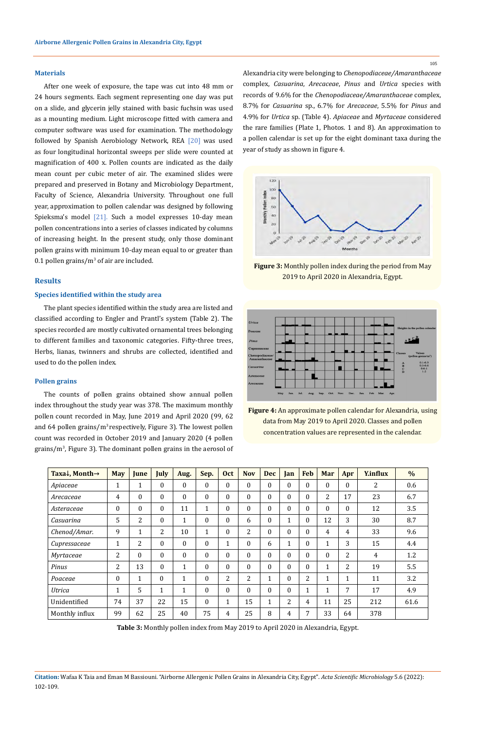#### **Materials**

After one week of exposure, the tape was cut into 48 mm or 24 hours segments. Each segment representing one day was put on a slide, and glycerin jelly stained with basic fuchsin was used as a mounting medium. Light microscope fitted with camera and computer software was used for examination. The methodology followed by Spanish Aerobiology Network, REA [20] was used as four longitudinal horizontal sweeps per slide were counted at magnification of 400 x. Pollen counts are indicated as the daily mean count per cubic meter of air. The examined slides were prepared and preserved in Botany and Microbiology Department, Faculty of Science, Alexandria University. Throughout one full year, approximation to pollen calendar was designed by following Spieksma's model [21]. Such a model expresses 10-day mean pollen concentrations into a series of classes indicated by columns of increasing height. In the present study, only those dominant pollen grains with minimum 10-day mean equal to or greater than  $0.1$  pollen grains/m<sup>3</sup> of air are included.

#### **Results**

#### **Species identified within the study area**

The plant species identified within the study area are listed and classified according to Engler and Prantl's system (Table 2). The species recorded are mostly cultivated ornamental trees belonging to different families and taxonomic categories. Fifty-three trees, Herbs, lianas, twinners and shrubs are collected, identified and used to do the pollen index.

## **Pollen grains**

The counts of pollen grains obtained show annual pollen index throughout the study year was 378. The maximum monthly pollen count recorded in May, June 2019 and April 2020 (99, 62 and 64 pollen grains/ $m^3$  respectively, Figure 3). The lowest pollen count was recorded in October 2019 and January 2020 (4 pollen grains/m<sup>3</sup>, Figure 3). The dominant pollen grains in the aerosol of Alexandria city were belonging to *Chenopodiaceae/Amaranthaceae* complex, *Casuarina*, *Arecaceae*, *Pinus* and *Urtica* species with records of 9.6% for the *Chenopodiaceae/Amaranthaceae* complex, 8.7% for *Casuarina* sp., 6.7% for *Arecaceae*, 5.5% for *Pinus* and 4.9% for *Urtica* sp. (Table 4). *Apiaceae* and *Myrtaceae* considered the rare families (Plate 1, Photos. 1 and 8). An approximation to a pollen calendar is set up for the eight dominant taxa during the year of study as shown in figure 4.



**Figure 3:** Monthly pollen index during the period from May 2019 to April 2020 in Alexandria, Egypt.



**Figure 4:** An approximate pollen calendar for Alexandria, using data from May 2019 to April 2020. Classes and pollen concentration values are represented in the calendar.

| Taxa $\downarrow$ , Month $\rightarrow$ | <b>May</b>   | <b>June</b>  | July         | Aug.         | Sep.         | <b>Oct</b>   | <b>Nov</b> | <b>Dec</b>   | Jan          | <b>Feb</b>     | Mar          | Apr    | <b>Y.influx</b> | $\%$ |
|-----------------------------------------|--------------|--------------|--------------|--------------|--------------|--------------|------------|--------------|--------------|----------------|--------------|--------|-----------------|------|
| Apiaceae                                | 1            | $\mathbf{1}$ | $\Omega$     | $\Omega$     | $\Omega$     | $\theta$     | $\Omega$   | $\Omega$     | $\Omega$     | $\Omega$       | 0            | 0      | 2               | 0.6  |
| Arecaceae                               | 4            | $\mathbf{0}$ | $\Omega$     | $\Omega$     | $\Omega$     | $\Omega$     | $\Omega$   | $\Omega$     | $\Omega$     | $\Omega$       | 2            | 17     | 23              | 6.7  |
| Asteraceae                              | $\theta$     | 0            | $\Omega$     | 11           | 1            | $\theta$     | $\Omega$   | $\theta$     | $\Omega$     | $\Omega$       | 0            | 0      | 12              | 3.5  |
| Casuarina                               | 5            | 2            | $\Omega$     | $\mathbf{1}$ | $\Omega$     | $\theta$     | 6          | $\theta$     | $\mathbf{1}$ | $\theta$       | 12           | 3      | 30              | 8.7  |
| Chenod/Amar.                            | 9            | $\mathbf{1}$ | 2            | 10           | $\mathbf{1}$ | $\theta$     | 2          | $\theta$     | $\theta$     | $\Omega$       | 4            | 4      | 33              | 9.6  |
| Cupressaceae                            | 1            | 2            | $\theta$     | $\Omega$     | $\Omega$     | $\mathbf{1}$ | $\Omega$   | 6            | 1            | $\Omega$       | $\mathbf{1}$ | 3      | 15              | 4.4  |
| Myrtaceae                               | 2            | $\mathbf{0}$ | $\Omega$     | $\theta$     | $\Omega$     | $\theta$     | $\Omega$   | $\theta$     | $\theta$     | $\Omega$       | 0            | 2      | 4               | 1.2  |
| Pinus                                   | 2            | 13           | $\mathbf{0}$ | 1            | $\theta$     | $\theta$     | $\theta$   | $\theta$     | $\theta$     | $\Omega$       | 1            | 2      | 19              | 5.5  |
| Poaceae                                 | $\Omega$     | $\mathbf{1}$ | $\Omega$     | 1            | $\Omega$     | 2            | 2          | $\mathbf{1}$ | $\Omega$     | $\overline{2}$ | 1<br>T       | 1<br>T | 11              | 3.2  |
| Utrica                                  | $\mathbf{1}$ | 5            | $\mathbf{1}$ | 1            | $\Omega$     | $\theta$     | $\Omega$   | $\Omega$     | $\Omega$     | $\mathbf{1}$   | $\mathbf{1}$ | 7      | 17              | 4.9  |
| Unidentified                            | 74           | 37           | 22           | 15           | $\Omega$     | $\mathbf{1}$ | 15         | $\mathbf{1}$ | 2            | 4              | 11           | 25     | 212             | 61.6 |
| Monthly influx                          | 99           | 62           | 25           | 40           | 75           | 4            | 25         | 8            | 4            | 7              | 33           | 64     | 378             |      |

**Table 3:** Monthly pollen index from May 2019 to April 2020 in Alexandria, Egypt.

**Citation:** Wafaa K Taia and Eman M Bassiouni*.* "Airborne Allergenic Pollen Grains in Alexandria City, Egypt". *Acta Scientific Microbiology* 5.6 (2022): 102-109.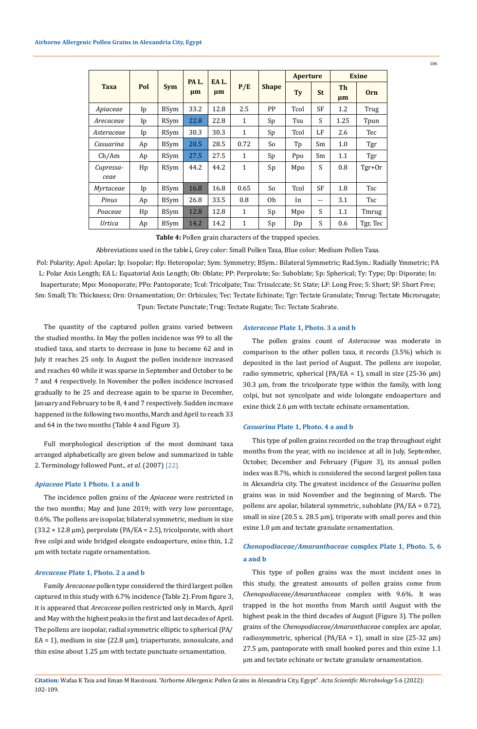|                   |     |             | PA L.              | EA L. |              |                | <b>Aperture</b> |           | <b>Exine</b>  |            |
|-------------------|-----|-------------|--------------------|-------|--------------|----------------|-----------------|-----------|---------------|------------|
| <b>Taxa</b>       | Pol | <b>Sym</b>  | $\mu$ m<br>$\mu$ m |       | P/E          | <b>Shape</b>   | Tv<br><b>St</b> |           | Th<br>$\mu$ m | <b>Orn</b> |
| Apiaceae          | Ip  | <b>BSym</b> | 33.2               | 12.8  | 2.5          | PP             | Tcol            | <b>SF</b> | 1.2           | Trug       |
| Arecaceae         | Ip  | <b>RSym</b> | 22.8               | 22.8  | $\mathbf{1}$ | Sp             | Tsu             | S         | 1.25          | Tpun       |
| Asteraceae        | Ip  | <b>RSym</b> | 30.3               | 30.3  | $\mathbf{1}$ | Sp             | Tcol            | LF        | 2.6           | Tec        |
| Casuarina         | Ap  | <b>BSym</b> | 20.5               | 28.5  | 0.72         | So             | Tp              | Sm        | 1.0           | Tgr        |
| Ch/Am             | Ap  | <b>RSym</b> | 27.5               | 27.5  | $\mathbf{1}$ | Sp             | Ppo             | Sm        | 1.1           | Tgr        |
| Cupressa-<br>ceae | Hp  | <b>RSym</b> | 44.2               | 44.2  | $\mathbf{1}$ | Sp             | Mpo             | S         | 0.8           | Tgr+0r     |
| <i>Myrtaceae</i>  | Ip  | <b>BSym</b> | 16.8               | 16.8  | 0.65         | So             | Tcol            | SF        | 1.8           | <b>Tsc</b> |
| Pinus             | Ap  | <b>BSym</b> | 26.8               | 33.5  | 0.8          | 0 <sub>b</sub> | In              | $- -$     | 3.1           | Tsc        |
| Poaceae           | Hp  | <b>BSym</b> | 12.8               | 12.8  | $\mathbf{1}$ | Sp             | Mpo             | S         | 1.1           | Tmrug      |
| <b>Urtica</b>     | Ap  | <b>BSym</b> | 14.2               | 14.2  | $\mathbf{1}$ | Sp             | Dp              | S         | 0.6           | Tgr, Tec   |

**Table 4:** Pollen grain characters of the trapped species.

Abbreviations used in the table↓, Grey color: Small Pollen Taxa, Blue color: Medium Pollen Taxa.

Pol: Polarity; Apol: Apolar; Ip: Isopolar; Hp: Heteropolar; Sym: Symmetry; BSym.: Bilateral Symmetric; Rad.Sym.: Radially Ymmetric; PA L: Polar Axis Length; EA L: Equatorial Axis Length; Ob: Oblate; PP: Perprolate; So: Suboblate; Sp: Spherical; Ty: Type; Dp: Diporate; In: Inaperturate; Mpo: Monoporate; PPo: Pantoporate; Tcol: Tricolpate; Tsu: Trisulccate; St: State; LF: Long Free; S: Short; SF: Short Free; Sm: Small; Th: Thickness; Orn: Ornamentation; Or: Orbicules; Tec: Tectate Echinate; Tgr: Tectate Granulate; Tmrug: Tectate Microrugate; Tpun: Tectate Punctate; Trug: Tectate Rugate; Tsc: Tectate Scabrate.

The quantity of the captured pollen grains varied between the studied months. In May the pollen incidence was 99 to all the studied taxa, and starts to decrease in June to become 62 and in July it reaches 25 only. In August the pollen incidence increased and reaches 40 while it was sparse in September and October to be 7 and 4 respectively. In November the pollen incidence increased gradually to be 25 and decrease again to be sparse in December, January and February to be 8, 4 and 7 respectively. Sudden increase happened in the following two months, March and April to reach 33 and 64 in the two months (Table 4 and Figure 3).

Full morphological description of the most dominant taxa arranged alphabetically are given below and summarized in table 2. Terminology followed Punt., *et al.* (2007) [22].

## *Apiaceae* **Plate 1 Photo. 1 a and b**

The incidence pollen grains of the *Apiaceae* were restricted in the two months; May and June 2019; with very low percentage, 0.6%. The pollens are isopolar, bilateral symmetric, medium in size  $(33.2 \times 12.8 \,\mu m)$ , perprolate (PA/EA = 2.5), tricolporate, with short free colpi and wide bridged elongate endoaperture, exine thin, 1.2 μm with tectate rugate ornamentation.

#### *Arecaceae* **Plate 1, Photo. 2 a and b**

Family *Arecaceae* pollen type considered the third largest pollen captured in this study with 6.7% incidence (Table 2). From figure 3, it is appeared that *Arecaceae* pollen restricted only in March, April and May with the highest peaks in the first and last decades of April. The pollens are isopolar, radial symmetric elliptic to spherical (PA/  $EA = 1$ ), medium in size (22.8  $\mu$ m), triaperturate, zonosulcate, and thin exine about 1.25 μm with tectate punctuate ornamentation.

#### *Asteraceae* **Plate 1, Photo. 3 a and b**

The pollen grains count of *Asteraceae* was moderate in comparison to the other pollen taxa, it records (3.5%) which is deposited in the last period of August. The pollens are isopolar, radio symmetric, spherical (PA/EA = 1), small in size (25-36  $\mu$ m) 30.3 µm, from the tricolporate type within the family, with long colpi, but not syncolpate and wide lolongate endoaperture and exine thick 2.6 μm with tectate echinate ornamentation.

#### *Casuarina* **Plate 1, Photo. 4 a and b**

This type of pollen grains recorded on the trap throughout eight months from the year, with no incidence at all in July, September, October, December and February (Figure 3), its annual pollen index was 8.7%, which is considered the second largest pollen taxa in Alexandria city. The greatest incidence of the *Casuarina* pollen grains was in mid November and the beginning of March. The pollens are apolar, bilateral symmetric, suboblate (PA/EA = 0.72), small in size (20.5 x. 28.5  $\mu$ m), triporate with small pores and thin exine 1.0 μm and tectate granulate ornamentation.

# *Chenopodiaceae/Amaranthaceae* **complex Plate 1, Photo. 5, 6 a and b**

This type of pollen grains was the most incident ones in this study, the greatest amounts of pollen grains come from *Chenopodiaceae/Amaranthaceae* complex with 9.6%. It was trapped in the hot months from March until August with the highest peak in the third decades of August (Figure 3). The pollen grains of the *Chenopodiaceae/Amaranthaceae* complex are apolar, radiosymmetric, spherical (PA/EA = 1), small in size (25-32  $\mu$ m)  $27.5 \mu m$ , pantoporate with small hooked pores and thin exine 1.1 μm and tectate echinate or tectate granulate ornamentation.

**Citation:** Wafaa K Taia and Eman M Bassiouni*.* "Airborne Allergenic Pollen Grains in Alexandria City, Egypt". *Acta Scientific Microbiology* 5.6 (2022): 102-109.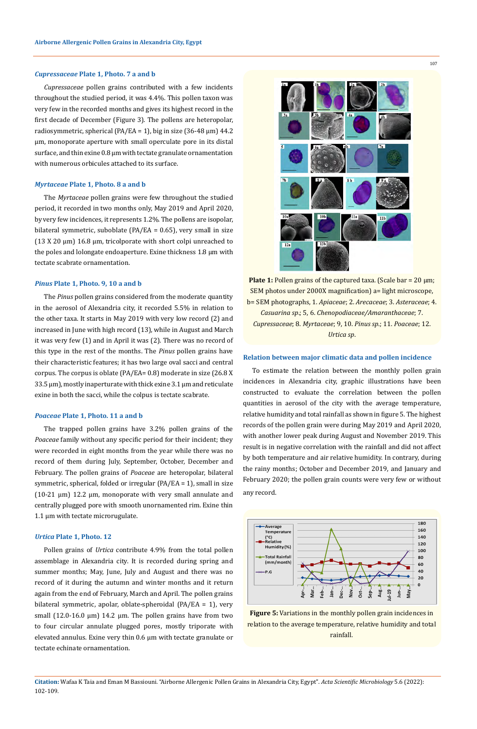#### *Cupressaceae* **Plate 1, Photo. 7 a and b**

*Cupressaceae* pollen grains contributed with a few incidents throughout the studied period, it was 4.4%. This pollen taxon was very few in the recorded months and gives its highest record in the first decade of December (Figure 3). The pollens are heteropolar, radiosymmetric, spherical (PA/EA = 1), big in size (36-48  $\mu$ m) 44.2 µm, monoporate aperture with small operculate pore in its distal surface, and thin exine 0.8 μm with tectate granulate ornamentation with numerous orbicules attached to its surface.

## *Myrtaceae* **Plate 1, Photo. 8 a and b**

The *Myrtaceae* pollen grains were few throughout the studied period, it recorded in two months only, May 2019 and April 2020, by very few incidences, it represents 1.2%. The pollens are isopolar, bilateral symmetric, suboblate (PA/EA = 0.65), very small in size (13 X 20 µm) 16.8 µm, tricolporate with short colpi unreached to the poles and lolongate endoaperture. Exine thickness 1.8 μm with tectate scabrate ornamentation.

#### *Pinus* **Plate 1, Photo. 9, 10 a and b**

The *Pinus* pollen grains considered from the moderate quantity in the aerosol of Alexandria city, it recorded 5.5% in relation to the other taxa. It starts in May 2019 with very low record (2) and increased in June with high record (13), while in August and March it was very few (1) and in April it was (2). There was no record of this type in the rest of the months. The *Pinus* pollen grains have their characteristic features; it has two large oval sacci and central corpus. The corpus is oblate (PA/EA= 0.8) moderate in size (26.8 X  $33.5 \,\mu m$ ), mostly inaperturate with thick exine  $3.1 \,\mu m$  and reticulate exine in both the sacci, while the colpus is tectate scabrate.

#### *Poaceae* **Plate 1, Photo. 11 a and b**

The trapped pollen grains have 3.2% pollen grains of the *Poaceae* family without any specific period for their incident; they were recorded in eight months from the year while there was no record of them during July, September, October, December and February. The pollen grains of *Poaceae* are heteropolar, bilateral symmetric, spherical, folded or irregular (PA/EA = 1), small in size (10-21 µm) 12.2 µm, monoporate with very small annulate and centrally plugged pore with smooth unornamented rim. Exine thin 1.1 µm with tectate microrugulate.

#### *Urtica* **Plate 1, Photo. 12**

Pollen grains of *Urtica* contribute 4.9% from the total pollen assemblage in Alexandria city. It is recorded during spring and summer months; May, June, July and August and there was no record of it during the autumn and winter months and it return again from the end of February, March and April. The pollen grains bilateral symmetric, apolar, oblate‐spheroidal (PA/EA = 1), very small  $(12.0-16.0 \mu m)$  14.2  $\mu$ m. The pollen grains have from two to four circular annulate plugged pores, mostly triporate with elevated annulus. Exine very thin 0.6 µm with tectate granulate or tectate echinate ornamentation.



**Plate 1:** Pollen grains of the captured taxa. (Scale bar =  $20 \mu m$ ; SEM photos under 2000X magnification) a= light microscope, b= SEM photographs, 1. *Apiaceae*; 2. *Arecaceae*; 3. *Asteraceae*; 4. *Casuarina sp*.; 5, 6. *Chenopodiaceae/Amaranthaceae*; 7. *Cupressaceae*; 8. *Myrtaceae*; 9, 10. *Pinus sp*.; 11. *Poaceae*; 12. *Urtica sp*.

#### **Relation between major climatic data and pollen incidence**

To estimate the relation between the monthly pollen grain incidences in Alexandria city, graphic illustrations have been constructed to evaluate the correlation between the pollen quantities in aerosol of the city with the average temperature, relative humidity and total rainfall as shown in figure 5. The highest records of the pollen grain were during May 2019 and April 2020, with another lower peak during August and November 2019. This result is in negative correlation with the rainfall and did not affect by both temperature and air relative humidity. In contrary, during the rainy months; October and December 2019, and January and February 2020; the pollen grain counts were very few or without any record.



**Figure 5:** Variations in the monthly pollen grain incidences in relation to the average temperature, relative humidity and total rainfall.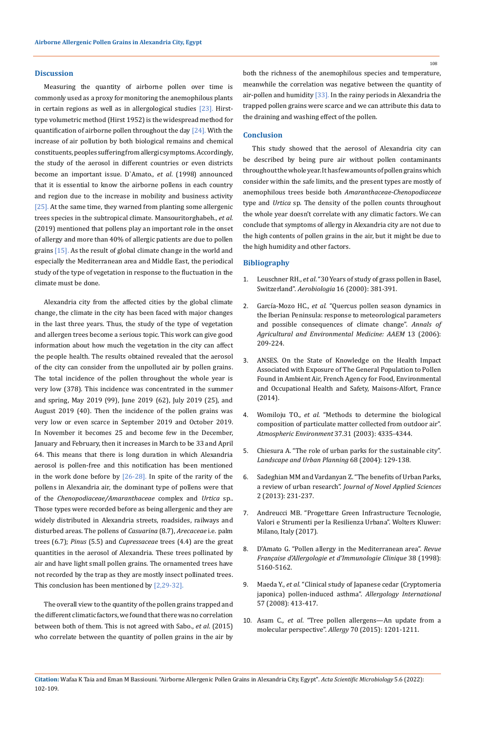## **Discussion**

Measuring the quantity of airborne pollen over time is commonly used as a proxy for monitoring the anemophilous plants in certain regions as well as in allergological studies [23]. Hirsttype volumetric method (Hirst 1952) is the widespread method for quantification of airborne pollen throughout the day [24]. With the increase of air pollution by both biological remains and chemical constituents, peoples suffering from allergic symptoms. Accordingly, the study of the aerosol in different countries or even districts become an important issue. D`Amato., *et al*. (1998) announced that it is essential to know the airborne pollens in each country and region due to the increase in mobility and business activity [25]. At the same time, they warned from planting some allergenic trees species in the subtropical climate. Mansouritorghabeh., *et al.* (2019) mentioned that pollens play an important role in the onset of allergy and more than 40% of allergic patients are due to pollen grains [15]. As the result of global climate change in the world and especially the Mediterranean area and Middle East, the periodical study of the type of vegetation in response to the fluctuation in the climate must be done.

Alexandria city from the affected cities by the global climate change, the climate in the city has been faced with major changes in the last three years. Thus, the study of the type of vegetation and allergen trees become a serious topic. This work can give good information about how much the vegetation in the city can affect the people health. The results obtained revealed that the aerosol of the city can consider from the unpolluted air by pollen grains. The total incidence of the pollen throughout the whole year is very low (378). This incidence was concentrated in the summer and spring, May 2019 (99), June 2019 (62), July 2019 (25), and August 2019 (40). Then the incidence of the pollen grains was very low or even scarce in September 2019 and October 2019. In November it becomes 25 and become few in the December, January and February, then it increases in March to be 33 and April 64. This means that there is long duration in which Alexandria aerosol is pollen-free and this notification has been mentioned in the work done before by  $[26-28]$ . In spite of the rarity of the pollens in Alexandria air, the dominant type of pollens were that of the *Chenopodiaceae/Amaranthaceae* complex and *Urtica* sp.. Those types were recorded before as being allergenic and they are widely distributed in Alexandria streets, roadsides, railways and disturbed areas. The pollens of *Casuarina* (8.7), *Arecaceae* i.e. palm trees (6.7); *Pinus* (5.5) and *Cupressaceae* trees (4.4) are the great quantities in the aerosol of Alexandria. These trees pollinated by air and have light small pollen grains. The ornamented trees have not recorded by the trap as they are mostly insect pollinated trees. This conclusion has been mentioned by [2,29-32].

The overall view to the quantity of the pollen grains trapped and the different climatic factors, we found that there was no correlation between both of them. This is not agreed with Sabo., *et al*. (2015) who correlate between the quantity of pollen grains in the air by

both the richness of the anemophilous species and temperature, meanwhile the correlation was negative between the quantity of air-pollen and humidity  $[33]$ . In the rainy periods in Alexandria the trapped pollen grains were scarce and we can attribute this data to the draining and washing effect of the pollen.

## **Conclusion**

This study showed that the aerosol of Alexandria city can be described by being pure air without pollen contaminants throughout the whole year. It has few amounts of pollen grains which consider within the safe limits, and the present types are mostly of anemophilous trees beside both *Amaranthaceae-Chenopodiaceae*  type and *Urtica* sp*.* The density of the pollen counts throughout the whole year doesn't correlate with any climatic factors. We can conclude that symptoms of allergy in Alexandria city are not due to the high contents of pollen grains in the air, but it might be due to the high humidity and other factors.

#### **Bibliography**

- 1. Leuschner RH., *et al*[. "30 Years of study of grass pollen in Basel,](https://link.springer.com/article/10.1023/A:1026528223020)  Switzerland". *Aerobiologia* [16 \(2000\): 381-391.](https://link.springer.com/article/10.1023/A:1026528223020)
- 2. García-Mozo HC., *et al*[. "Quercus pollen season dynamics in](https://www.researchgate.net/publication/6604812_Quercus_pollen_season_dynamics_in_the_Iberian_Peninsula_Response_to_meteorological_parameters_and_possible_consequences_of_climate_change)  [the Iberian Peninsula: response to meteorological parameters](https://www.researchgate.net/publication/6604812_Quercus_pollen_season_dynamics_in_the_Iberian_Peninsula_Response_to_meteorological_parameters_and_possible_consequences_of_climate_change)  [and possible consequences of climate change".](https://www.researchgate.net/publication/6604812_Quercus_pollen_season_dynamics_in_the_Iberian_Peninsula_Response_to_meteorological_parameters_and_possible_consequences_of_climate_change) *Annals of [Agricultural and Environmental Medicine: AAEM](https://www.researchgate.net/publication/6604812_Quercus_pollen_season_dynamics_in_the_Iberian_Peninsula_Response_to_meteorological_parameters_and_possible_consequences_of_climate_change)* 13 (2006): [209-224.](https://www.researchgate.net/publication/6604812_Quercus_pollen_season_dynamics_in_the_Iberian_Peninsula_Response_to_meteorological_parameters_and_possible_consequences_of_climate_change)
- 3. ANSES. On the State of Knowledge on the Health Impact Associated with Exposure of The General Population to Pollen Found in Ambient Air, French Agency for Food, Environmental and Occupational Health and Safety, Maisons-Alfort, France (2014).
- 4. Womiloju TO., *et al*[. "Methods to determine the biological](https://www.sciencedirect.com/science/article/abs/pii/S1352231003005776)  [composition of particulate matter collected from outdoor air".](https://www.sciencedirect.com/science/article/abs/pii/S1352231003005776)  *[Atmospheric Environment](https://www.sciencedirect.com/science/article/abs/pii/S1352231003005776)* 37.31 (2003): 4335-4344.
- 5. [Chiesura A. "The role of urban parks for the sustainable city".](https://www.sciencedirect.com/science/article/abs/pii/S0169204603001865)  *[Landscape and Urban Planning](https://www.sciencedirect.com/science/article/abs/pii/S0169204603001865)* 68 (2004): 129-138.
- 6. [Sadeghian MM and Vardanyan Z. "The benefits of Urban Parks,](https://jnasci.org/wp-content/uploads/2013/08/231-237.pdf)  a review of urban research". *[Journal of Novel Applied Sciences](https://jnasci.org/wp-content/uploads/2013/08/231-237.pdf)* [2 \(2013\): 231-237.](https://jnasci.org/wp-content/uploads/2013/08/231-237.pdf)
- 7. Andreucci MB. "Progettare Green Infrastructure Tecnologie, Valori e Strumenti per la Resilienza Urbana". Wolters Kluwer: Milano, Italy (2017).
- 8. [D'Amato G. "Pollen allergy in the Mediterranean area".](https://www.sciencedirect.com/science/article/abs/pii/S0335745798800920) *Revue [Française d'Allergologie et d'Immunologie Clinique](https://www.sciencedirect.com/science/article/abs/pii/S0335745798800920)* 38 (1998): [5160-5162.](https://www.sciencedirect.com/science/article/abs/pii/S0335745798800920)
- 9. Maeda Y., *et al*[. "Clinical study of Japanese cedar \(Cryptomeria](https://www.researchgate.net/publication/23407704_A_Clinical_Study_of_Japanese_Cedar_Cryptomeria_japonica_Pollen-Induced_Asthma)  [japonica\) pollen-induced asthma".](https://www.researchgate.net/publication/23407704_A_Clinical_Study_of_Japanese_Cedar_Cryptomeria_japonica_Pollen-Induced_Asthma) *Allergology International* [57 \(2008\): 413-417.](https://www.researchgate.net/publication/23407704_A_Clinical_Study_of_Japanese_Cedar_Cryptomeria_japonica_Pollen-Induced_Asthma)
- 10. Asam C., *et al*[. "Tree pollen allergens—An update from a](https://www.researchgate.net/publication/280117058_Tree_pollen_allergens_-_An_update_from_a_molecular_perspective)  molecular perspective". *Allergy* 70 (2015): 1201-1211.
- **Citation:** Wafaa K Taia and Eman M Bassiouni*.* "Airborne Allergenic Pollen Grains in Alexandria City, Egypt". *Acta Scientific Microbiology* 5.6 (2022): 102-109.